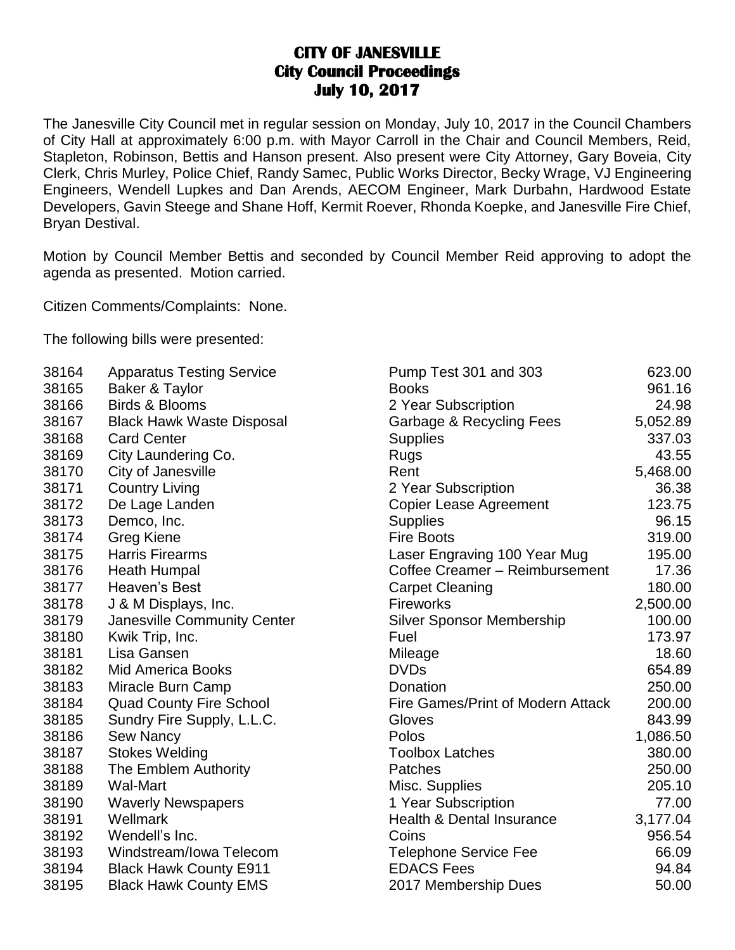## **CITY OF JANESVILLE City Council Proceedings July 10, 2017**

The Janesville City Council met in regular session on Monday, July 10, 2017 in the Council Chambers of City Hall at approximately 6:00 p.m. with Mayor Carroll in the Chair and Council Members, Reid, Stapleton, Robinson, Bettis and Hanson present. Also present were City Attorney, Gary Boveia, City Clerk, Chris Murley, Police Chief, Randy Samec, Public Works Director, Becky Wrage, VJ Engineering Engineers, Wendell Lupkes and Dan Arends, AECOM Engineer, Mark Durbahn, Hardwood Estate Developers, Gavin Steege and Shane Hoff, Kermit Roever, Rhonda Koepke, and Janesville Fire Chief, Bryan Destival.

Motion by Council Member Bettis and seconded by Council Member Reid approving to adopt the agenda as presented. Motion carried.

Citizen Comments/Complaints: None.

The following bills were presented:

| 38164 | <b>Apparatus Testing Service</b> | Pump Test 301 and 303             | 623.00   |
|-------|----------------------------------|-----------------------------------|----------|
| 38165 | Baker & Taylor                   | <b>Books</b>                      | 961.16   |
| 38166 | <b>Birds &amp; Blooms</b>        | 2 Year Subscription               | 24.98    |
| 38167 | <b>Black Hawk Waste Disposal</b> | Garbage & Recycling Fees          | 5,052.89 |
| 38168 | <b>Card Center</b>               | <b>Supplies</b>                   | 337.03   |
| 38169 | City Laundering Co.              | <b>Rugs</b>                       | 43.55    |
| 38170 | City of Janesville               | Rent                              | 5,468.00 |
| 38171 | <b>Country Living</b>            | 2 Year Subscription               | 36.38    |
| 38172 | De Lage Landen                   | Copier Lease Agreement            | 123.75   |
| 38173 | Demco, Inc.                      | <b>Supplies</b>                   | 96.15    |
| 38174 | Greg Kiene                       | <b>Fire Boots</b>                 | 319.00   |
| 38175 | <b>Harris Firearms</b>           | Laser Engraving 100 Year Mug      | 195.00   |
| 38176 | Heath Humpal                     | Coffee Creamer - Reimbursement    | 17.36    |
| 38177 | Heaven's Best                    | <b>Carpet Cleaning</b>            | 180.00   |
| 38178 | J & M Displays, Inc.             | <b>Fireworks</b>                  | 2,500.00 |
| 38179 | Janesville Community Center      | <b>Silver Sponsor Membership</b>  | 100.00   |
| 38180 | Kwik Trip, Inc.                  | Fuel                              | 173.97   |
| 38181 | Lisa Gansen                      | Mileage                           | 18.60    |
| 38182 | <b>Mid America Books</b>         | <b>DVDs</b>                       | 654.89   |
| 38183 | Miracle Burn Camp                | Donation                          | 250.00   |
| 38184 | <b>Quad County Fire School</b>   | Fire Games/Print of Modern Attack | 200.00   |
| 38185 | Sundry Fire Supply, L.L.C.       | Gloves                            | 843.99   |
| 38186 | Sew Nancy                        | Polos                             | 1,086.50 |
| 38187 | <b>Stokes Welding</b>            | <b>Toolbox Latches</b>            | 380.00   |
| 38188 | The Emblem Authority             | Patches                           | 250.00   |
| 38189 | Wal-Mart                         | Misc. Supplies                    | 205.10   |
| 38190 | <b>Waverly Newspapers</b>        | 1 Year Subscription               | 77.00    |
| 38191 | Wellmark                         | Health & Dental Insurance         | 3,177.04 |
| 38192 | Wendell's Inc.                   | Coins                             | 956.54   |
| 38193 | Windstream/Iowa Telecom          | <b>Telephone Service Fee</b>      | 66.09    |
| 38194 | <b>Black Hawk County E911</b>    | <b>EDACS Fees</b>                 | 94.84    |
| 38195 | <b>Black Hawk County EMS</b>     | 2017 Membership Dues              | 50.00    |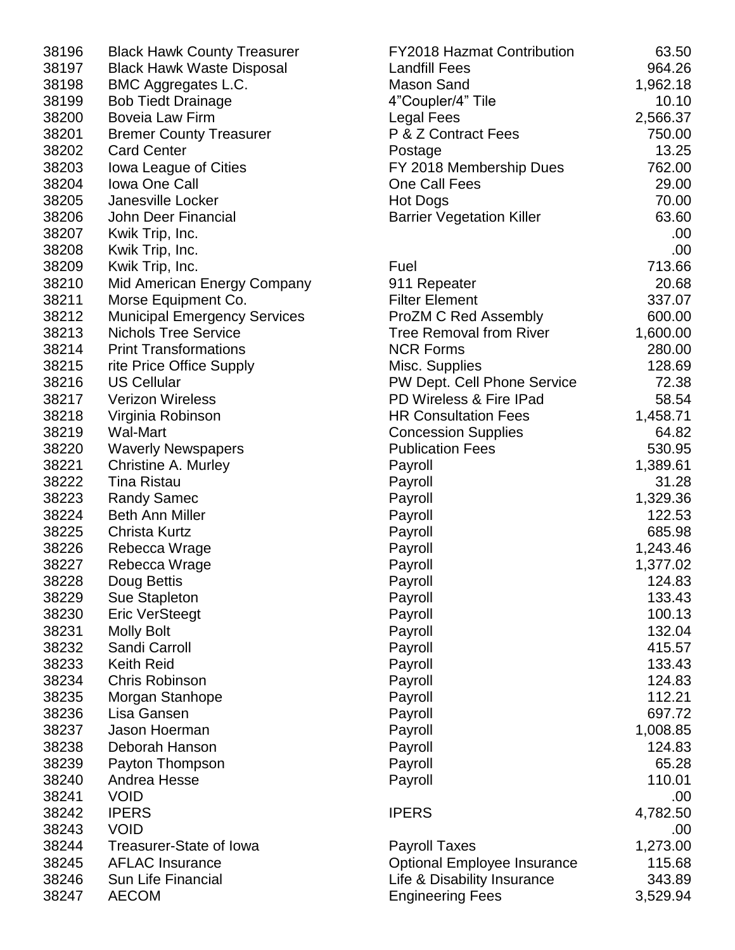| <b>Black Hawk County Treasurer</b>  |
|-------------------------------------|
| <b>Black Hawk Waste Disposal</b>    |
| <b>BMC Aggregates L.C.</b>          |
| <b>Bob Tiedt Drainage</b>           |
| <b>Boveia Law Firm</b>              |
| <b>Bremer County Treasurer</b>      |
| <b>Card Center</b>                  |
| lowa League of Cities               |
| <b>Iowa One Call</b>                |
| <b>Janesville Locker</b>            |
| John Deer Financial                 |
| Kwik Trip, Inc.                     |
| Kwik Trip, Inc.                     |
| Kwik Trip, Inc.                     |
| Mid American Energy Company         |
| Morse Equipment Co.                 |
| <b>Municipal Emergency Services</b> |
| <b>Nichols Tree Service</b>         |
| <b>Print Transformations</b>        |
| rite Price Office Supply            |
| <b>US Cellular</b>                  |
| <b>Verizon Wireless</b>             |
|                                     |
| Virginia Robinson                   |
| <b>Wal-Mart</b>                     |
| <b>Waverly Newspapers</b>           |
| <b>Christine A. Murley</b>          |
| <b>Tina Ristau</b>                  |
| <b>Randy Samec</b>                  |
| <b>Beth Ann Miller</b>              |
| Christa Kurtz                       |
| Rebecca Wrage                       |
| Rebecca Wrage                       |
| Doug Bettis                         |
| Sue Stapleton                       |
| <b>Eric VerSteegt</b>               |
| <b>Molly Bolt</b>                   |
| Sandi Carroll                       |
| <b>Keith Reid</b>                   |
| <b>Chris Robinson</b>               |
| Morgan Stanhope                     |
| Lisa Gansen                         |
| <b>Jason Hoerman</b>                |
| Deborah Hanson                      |
| Payton Thompson                     |
| Andrea Hesse                        |
| VOID                                |
| <b>IPERS</b>                        |
| <b>VOID</b>                         |
| <b>Treasurer-State of lowa</b>      |
| <b>AFLAC Insurance</b>              |
| <b>Sun Life Financial</b>           |
| <b>AECOM</b>                        |
|                                     |

| 38196 | <b>Black Hawk County Treasurer</b>  | <b>FY2018 Hazmat Contribution</b>  | 63.50    |
|-------|-------------------------------------|------------------------------------|----------|
| 38197 | <b>Black Hawk Waste Disposal</b>    | <b>Landfill Fees</b>               | 964.26   |
| 38198 | BMC Aggregates L.C.                 | <b>Mason Sand</b>                  | 1,962.18 |
| 38199 | <b>Bob Tiedt Drainage</b>           | 4"Coupler/4" Tile                  | 10.10    |
| 38200 | Boveia Law Firm                     | Legal Fees                         | 2,566.37 |
| 38201 | <b>Bremer County Treasurer</b>      | P & Z Contract Fees                | 750.00   |
| 38202 | <b>Card Center</b>                  | Postage                            | 13.25    |
| 38203 | <b>Iowa League of Cities</b>        | FY 2018 Membership Dues            | 762.00   |
| 38204 | <b>Iowa One Call</b>                | One Call Fees                      | 29.00    |
| 38205 | Janesville Locker                   | Hot Dogs                           | 70.00    |
| 38206 | John Deer Financial                 | <b>Barrier Vegetation Killer</b>   | 63.60    |
| 38207 | Kwik Trip, Inc.                     |                                    | .00      |
| 38208 | Kwik Trip, Inc.                     |                                    | .00.     |
| 38209 | Kwik Trip, Inc.                     | Fuel                               | 713.66   |
| 38210 | Mid American Energy Company         | 911 Repeater                       | 20.68    |
| 38211 | Morse Equipment Co.                 | <b>Filter Element</b>              | 337.07   |
| 38212 | <b>Municipal Emergency Services</b> | <b>ProZM C Red Assembly</b>        | 600.00   |
| 38213 | <b>Nichols Tree Service</b>         | <b>Tree Removal from River</b>     | 1,600.00 |
| 38214 | <b>Print Transformations</b>        | <b>NCR Forms</b>                   | 280.00   |
| 38215 | rite Price Office Supply            | Misc. Supplies                     | 128.69   |
| 38216 | <b>US Cellular</b>                  | PW Dept. Cell Phone Service        | 72.38    |
| 38217 | <b>Verizon Wireless</b>             | PD Wireless & Fire IPad            | 58.54    |
| 38218 | Virginia Robinson                   | <b>HR Consultation Fees</b>        | 1,458.71 |
| 38219 | <b>Wal-Mart</b>                     | <b>Concession Supplies</b>         | 64.82    |
| 38220 | <b>Waverly Newspapers</b>           | <b>Publication Fees</b>            | 530.95   |
| 38221 | Christine A. Murley                 | Payroll                            | 1,389.61 |
| 38222 | <b>Tina Ristau</b>                  | Payroll                            | 31.28    |
| 38223 | <b>Randy Samec</b>                  | Payroll                            | 1,329.36 |
| 38224 | <b>Beth Ann Miller</b>              | Payroll                            | 122.53   |
| 38225 | <b>Christa Kurtz</b>                | Payroll                            | 685.98   |
| 38226 | Rebecca Wrage                       | Payroll                            | 1,243.46 |
| 38227 | Rebecca Wrage                       | Payroll                            | 1,377.02 |
| 38228 | Doug Bettis                         | Payroll                            | 124.83   |
| 38229 | Sue Stapleton                       | Payroll                            | 133.43   |
| 38230 | <b>Eric VerSteegt</b>               | Payroll                            | 100.13   |
| 38231 | <b>Molly Bolt</b>                   | Payroll                            | 132.04   |
| 38232 | Sandi Carroll                       | Payroll                            | 415.57   |
| 38233 | <b>Keith Reid</b>                   | Payroll                            | 133.43   |
| 38234 | <b>Chris Robinson</b>               | Payroll                            | 124.83   |
| 38235 | Morgan Stanhope                     | Payroll                            | 112.21   |
| 38236 | Lisa Gansen                         | Payroll                            | 697.72   |
| 38237 | Jason Hoerman                       | Payroll                            | 1,008.85 |
| 38238 | Deborah Hanson                      | Payroll                            | 124.83   |
| 38239 | Payton Thompson                     | Payroll                            | 65.28    |
| 38240 | Andrea Hesse                        | Payroll                            | 110.01   |
| 38241 | <b>VOID</b>                         |                                    | .00      |
| 38242 | <b>IPERS</b>                        | <b>IPERS</b>                       | 4,782.50 |
| 38243 | <b>VOID</b>                         |                                    | .00      |
| 38244 | Treasurer-State of Iowa             | <b>Payroll Taxes</b>               | 1,273.00 |
| 38245 | <b>AFLAC Insurance</b>              | <b>Optional Employee Insurance</b> | 115.68   |
| 38246 | Sun Life Financial                  | Life & Disability Insurance        | 343.89   |
| 38247 | <b>AECOM</b>                        | <b>Engineering Fees</b>            | 3,529.94 |
|       |                                     |                                    |          |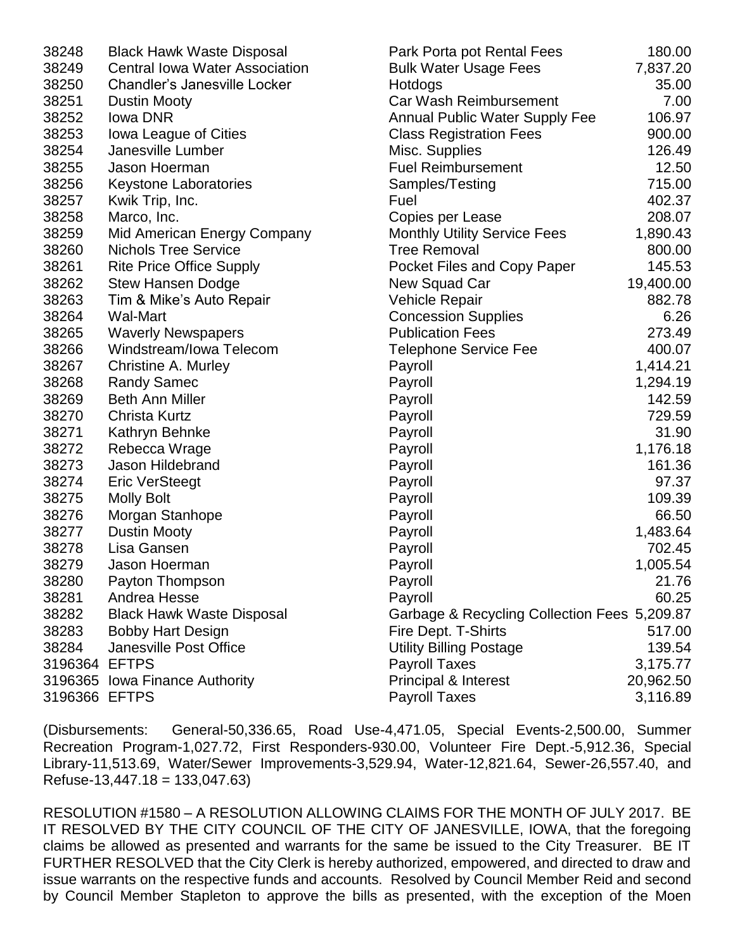| 38248         | <b>Black Hawk Waste Disposal</b>      | Park Porta pot Rental Fees                   | 180.00    |
|---------------|---------------------------------------|----------------------------------------------|-----------|
| 38249         | <b>Central Iowa Water Association</b> | <b>Bulk Water Usage Fees</b>                 | 7,837.20  |
| 38250         | Chandler's Janesville Locker          | Hotdogs                                      | 35.00     |
| 38251         | <b>Dustin Mooty</b>                   | <b>Car Wash Reimbursement</b>                | 7.00      |
| 38252         | lowa DNR                              | <b>Annual Public Water Supply Fee</b>        | 106.97    |
| 38253         | Iowa League of Cities                 | <b>Class Registration Fees</b>               | 900.00    |
| 38254         | Janesville Lumber                     | Misc. Supplies                               | 126.49    |
| 38255         | Jason Hoerman                         | <b>Fuel Reimbursement</b>                    | 12.50     |
| 38256         | <b>Keystone Laboratories</b>          | Samples/Testing                              | 715.00    |
| 38257         | Kwik Trip, Inc.                       | Fuel                                         | 402.37    |
| 38258         | Marco, Inc.                           | Copies per Lease                             | 208.07    |
| 38259         | Mid American Energy Company           | <b>Monthly Utility Service Fees</b>          | 1,890.43  |
| 38260         | <b>Nichols Tree Service</b>           | <b>Tree Removal</b>                          | 800.00    |
| 38261         | <b>Rite Price Office Supply</b>       | Pocket Files and Copy Paper                  | 145.53    |
| 38262         | <b>Stew Hansen Dodge</b>              | New Squad Car                                | 19,400.00 |
| 38263         | Tim & Mike's Auto Repair              | Vehicle Repair                               | 882.78    |
| 38264         | <b>Wal-Mart</b>                       | <b>Concession Supplies</b>                   | 6.26      |
| 38265         | <b>Waverly Newspapers</b>             | <b>Publication Fees</b>                      | 273.49    |
| 38266         | Windstream/Iowa Telecom               | <b>Telephone Service Fee</b>                 | 400.07    |
| 38267         | Christine A. Murley                   | Payroll                                      | 1,414.21  |
| 38268         | <b>Randy Samec</b>                    | Payroll                                      | 1,294.19  |
| 38269         | <b>Beth Ann Miller</b>                | Payroll                                      | 142.59    |
| 38270         | Christa Kurtz                         | Payroll                                      | 729.59    |
| 38271         | Kathryn Behnke                        | Payroll                                      | 31.90     |
| 38272         | Rebecca Wrage                         | Payroll                                      | 1,176.18  |
| 38273         | Jason Hildebrand                      | Payroll                                      | 161.36    |
| 38274         | <b>Eric VerSteegt</b>                 | Payroll                                      | 97.37     |
| 38275         | <b>Molly Bolt</b>                     | Payroll                                      | 109.39    |
| 38276         | Morgan Stanhope                       | Payroll                                      | 66.50     |
| 38277         | <b>Dustin Mooty</b>                   | Payroll                                      | 1,483.64  |
| 38278         | Lisa Gansen                           | Payroll                                      | 702.45    |
| 38279         | Jason Hoerman                         | Payroll                                      | 1,005.54  |
| 38280         | Payton Thompson                       | Payroll                                      | 21.76     |
| 38281         | Andrea Hesse                          | Payroll                                      | 60.25     |
| 38282         | <b>Black Hawk Waste Disposal</b>      | Garbage & Recycling Collection Fees 5,209.87 |           |
| 38283         | <b>Bobby Hart Design</b>              | Fire Dept. T-Shirts                          | 517.00    |
| 38284         | Janesville Post Office                | <b>Utility Billing Postage</b>               | 139.54    |
| 3196364 EFTPS |                                       | <b>Payroll Taxes</b>                         | 3,175.77  |
|               | 3196365 Iowa Finance Authority        | <b>Principal &amp; Interest</b>              | 20,962.50 |
| 3196366 EFTPS |                                       | <b>Payroll Taxes</b>                         | 3,116.89  |

(Disbursements: General-50,336.65, Road Use-4,471.05, Special Events-2,500.00, Summer Recreation Program-1,027.72, First Responders-930.00, Volunteer Fire Dept.-5,912.36, Special Library-11,513.69, Water/Sewer Improvements-3,529.94, Water-12,821.64, Sewer-26,557.40, and Refuse-13,447.18 = 133,047.63)

RESOLUTION #1580 – A RESOLUTION ALLOWING CLAIMS FOR THE MONTH OF JULY 2017. BE IT RESOLVED BY THE CITY COUNCIL OF THE CITY OF JANESVILLE, IOWA, that the foregoing claims be allowed as presented and warrants for the same be issued to the City Treasurer. BE IT FURTHER RESOLVED that the City Clerk is hereby authorized, empowered, and directed to draw and issue warrants on the respective funds and accounts. Resolved by Council Member Reid and second by Council Member Stapleton to approve the bills as presented, with the exception of the Moen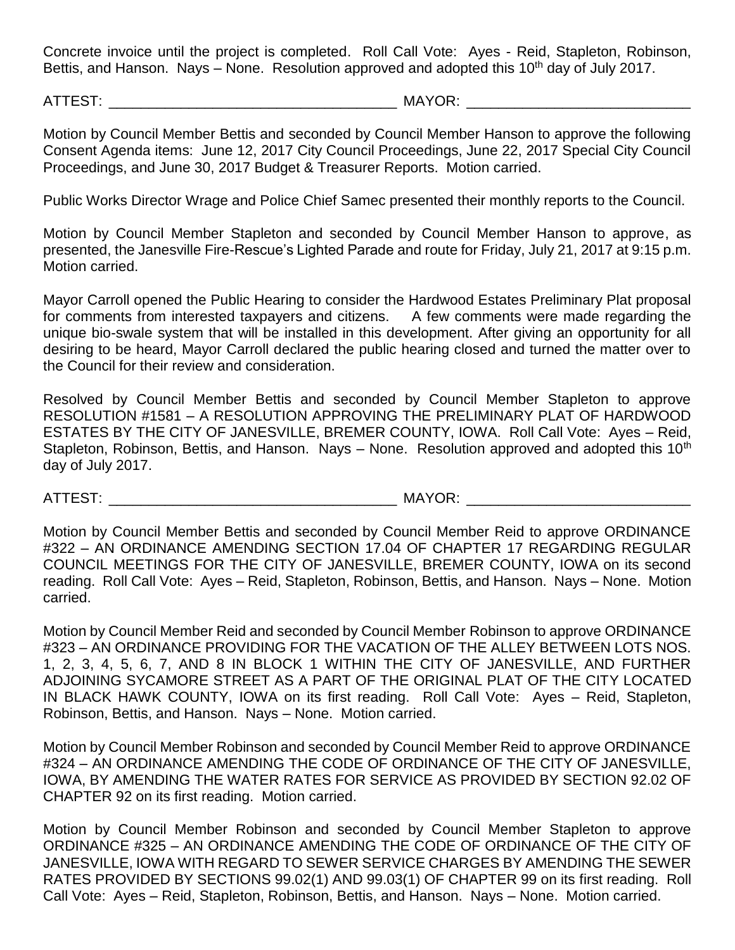Concrete invoice until the project is completed. Roll Call Vote: Ayes - Reid, Stapleton, Robinson, Bettis, and Hanson. Nays – None. Resolution approved and adopted this  $10<sup>th</sup>$  day of July 2017.

ATTEST: \_\_\_\_\_\_\_\_\_\_\_\_\_\_\_\_\_\_\_\_\_\_\_\_\_\_\_\_\_\_\_\_\_\_\_\_ MAYOR: \_\_\_\_\_\_\_\_\_\_\_\_\_\_\_\_\_\_\_\_\_\_\_\_\_\_\_\_

Motion by Council Member Bettis and seconded by Council Member Hanson to approve the following Consent Agenda items: June 12, 2017 City Council Proceedings, June 22, 2017 Special City Council Proceedings, and June 30, 2017 Budget & Treasurer Reports. Motion carried.

Public Works Director Wrage and Police Chief Samec presented their monthly reports to the Council.

Motion by Council Member Stapleton and seconded by Council Member Hanson to approve, as presented, the Janesville Fire-Rescue's Lighted Parade and route for Friday, July 21, 2017 at 9:15 p.m. Motion carried.

Mayor Carroll opened the Public Hearing to consider the Hardwood Estates Preliminary Plat proposal for comments from interested taxpayers and citizens. A few comments were made regarding the unique bio-swale system that will be installed in this development. After giving an opportunity for all desiring to be heard, Mayor Carroll declared the public hearing closed and turned the matter over to the Council for their review and consideration.

Resolved by Council Member Bettis and seconded by Council Member Stapleton to approve RESOLUTION #1581 – A RESOLUTION APPROVING THE PRELIMINARY PLAT OF HARDWOOD ESTATES BY THE CITY OF JANESVILLE, BREMER COUNTY, IOWA. Roll Call Vote: Ayes – Reid, Stapleton, Robinson, Bettis, and Hanson. Nays – None. Resolution approved and adopted this  $10<sup>th</sup>$ day of July 2017.

ATTEST: \_\_\_\_\_\_\_\_\_\_\_\_\_\_\_\_\_\_\_\_\_\_\_\_\_\_\_\_\_\_\_\_\_\_\_\_ MAYOR: \_\_\_\_\_\_\_\_\_\_\_\_\_\_\_\_\_\_\_\_\_\_\_\_\_\_\_\_

Motion by Council Member Bettis and seconded by Council Member Reid to approve ORDINANCE #322 – AN ORDINANCE AMENDING SECTION 17.04 OF CHAPTER 17 REGARDING REGULAR COUNCIL MEETINGS FOR THE CITY OF JANESVILLE, BREMER COUNTY, IOWA on its second reading. Roll Call Vote: Ayes – Reid, Stapleton, Robinson, Bettis, and Hanson. Nays – None. Motion carried.

Motion by Council Member Reid and seconded by Council Member Robinson to approve ORDINANCE #323 – AN ORDINANCE PROVIDING FOR THE VACATION OF THE ALLEY BETWEEN LOTS NOS. 1, 2, 3, 4, 5, 6, 7, AND 8 IN BLOCK 1 WITHIN THE CITY OF JANESVILLE, AND FURTHER ADJOINING SYCAMORE STREET AS A PART OF THE ORIGINAL PLAT OF THE CITY LOCATED IN BLACK HAWK COUNTY, IOWA on its first reading. Roll Call Vote: Ayes – Reid, Stapleton, Robinson, Bettis, and Hanson. Nays – None. Motion carried.

Motion by Council Member Robinson and seconded by Council Member Reid to approve ORDINANCE #324 – AN ORDINANCE AMENDING THE CODE OF ORDINANCE OF THE CITY OF JANESVILLE, IOWA, BY AMENDING THE WATER RATES FOR SERVICE AS PROVIDED BY SECTION 92.02 OF CHAPTER 92 on its first reading. Motion carried.

Motion by Council Member Robinson and seconded by Council Member Stapleton to approve ORDINANCE #325 – AN ORDINANCE AMENDING THE CODE OF ORDINANCE OF THE CITY OF JANESVILLE, IOWA WITH REGARD TO SEWER SERVICE CHARGES BY AMENDING THE SEWER RATES PROVIDED BY SECTIONS 99.02(1) AND 99.03(1) OF CHAPTER 99 on its first reading. Roll Call Vote: Ayes – Reid, Stapleton, Robinson, Bettis, and Hanson. Nays – None. Motion carried.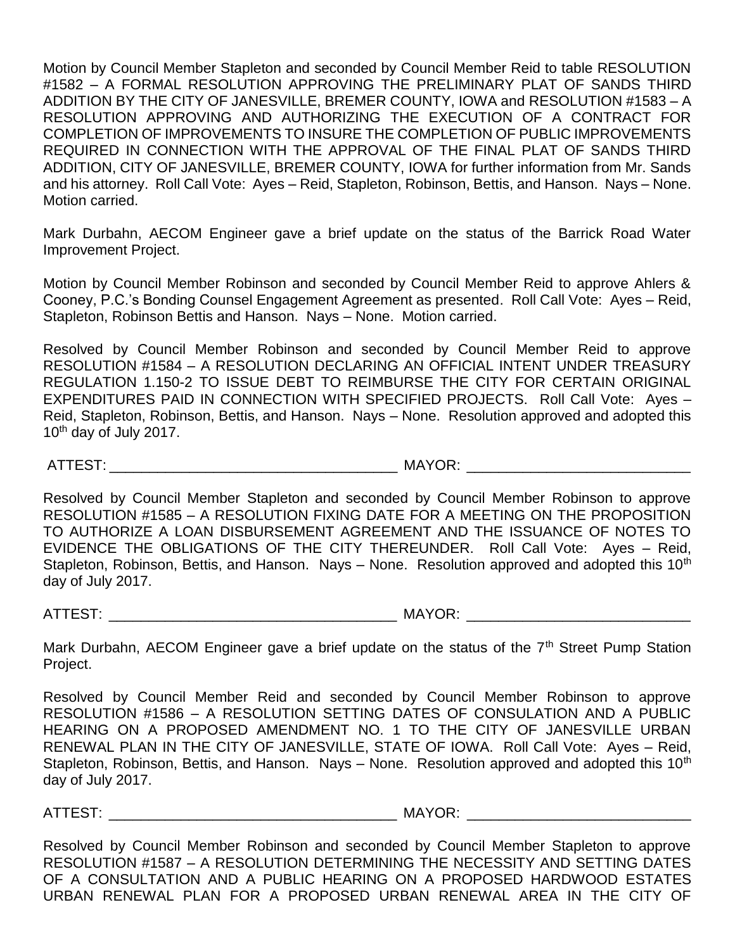Motion by Council Member Stapleton and seconded by Council Member Reid to table RESOLUTION #1582 – A FORMAL RESOLUTION APPROVING THE PRELIMINARY PLAT OF SANDS THIRD ADDITION BY THE CITY OF JANESVILLE, BREMER COUNTY, IOWA and RESOLUTION #1583 – A RESOLUTION APPROVING AND AUTHORIZING THE EXECUTION OF A CONTRACT FOR COMPLETION OF IMPROVEMENTS TO INSURE THE COMPLETION OF PUBLIC IMPROVEMENTS REQUIRED IN CONNECTION WITH THE APPROVAL OF THE FINAL PLAT OF SANDS THIRD ADDITION, CITY OF JANESVILLE, BREMER COUNTY, IOWA for further information from Mr. Sands and his attorney. Roll Call Vote: Ayes – Reid, Stapleton, Robinson, Bettis, and Hanson. Nays – None. Motion carried.

Mark Durbahn, AECOM Engineer gave a brief update on the status of the Barrick Road Water Improvement Project.

Motion by Council Member Robinson and seconded by Council Member Reid to approve Ahlers & Cooney, P.C.'s Bonding Counsel Engagement Agreement as presented. Roll Call Vote: Ayes – Reid, Stapleton, Robinson Bettis and Hanson. Nays – None. Motion carried.

Resolved by Council Member Robinson and seconded by Council Member Reid to approve RESOLUTION #1584 – A RESOLUTION DECLARING AN OFFICIAL INTENT UNDER TREASURY REGULATION 1.150-2 TO ISSUE DEBT TO REIMBURSE THE CITY FOR CERTAIN ORIGINAL EXPENDITURES PAID IN CONNECTION WITH SPECIFIED PROJECTS. Roll Call Vote: Ayes – Reid, Stapleton, Robinson, Bettis, and Hanson. Nays – None. Resolution approved and adopted this  $10<sup>th</sup>$  day of July 2017.

ATTEST: THE RESOLUTION OF A LOCAL CONTROLLER MAYOR:

Resolved by Council Member Stapleton and seconded by Council Member Robinson to approve RESOLUTION #1585 – A RESOLUTION FIXING DATE FOR A MEETING ON THE PROPOSITION TO AUTHORIZE A LOAN DISBURSEMENT AGREEMENT AND THE ISSUANCE OF NOTES TO EVIDENCE THE OBLIGATIONS OF THE CITY THEREUNDER. Roll Call Vote: Ayes – Reid, Stapleton, Robinson, Bettis, and Hanson. Nays – None. Resolution approved and adopted this  $10<sup>th</sup>$ day of July 2017.

ATTEST: THE MAYOR:

Mark Durbahn, AECOM Engineer gave a brief update on the status of the 7<sup>th</sup> Street Pump Station Project.

Resolved by Council Member Reid and seconded by Council Member Robinson to approve RESOLUTION #1586 – A RESOLUTION SETTING DATES OF CONSULATION AND A PUBLIC HEARING ON A PROPOSED AMENDMENT NO. 1 TO THE CITY OF JANESVILLE URBAN RENEWAL PLAN IN THE CITY OF JANESVILLE, STATE OF IOWA. Roll Call Vote: Ayes – Reid, Stapleton, Robinson, Bettis, and Hanson. Nays – None. Resolution approved and adopted this  $10<sup>th</sup>$ day of July 2017.

ATTEST: THE RESOLUTION OF THE MAYOR: AND THE STRIKE AND THE STRIKE AND THE STRIKE AND THE STRIKE AND THE STRIKE

Resolved by Council Member Robinson and seconded by Council Member Stapleton to approve RESOLUTION #1587 – A RESOLUTION DETERMINING THE NECESSITY AND SETTING DATES OF A CONSULTATION AND A PUBLIC HEARING ON A PROPOSED HARDWOOD ESTATES URBAN RENEWAL PLAN FOR A PROPOSED URBAN RENEWAL AREA IN THE CITY OF